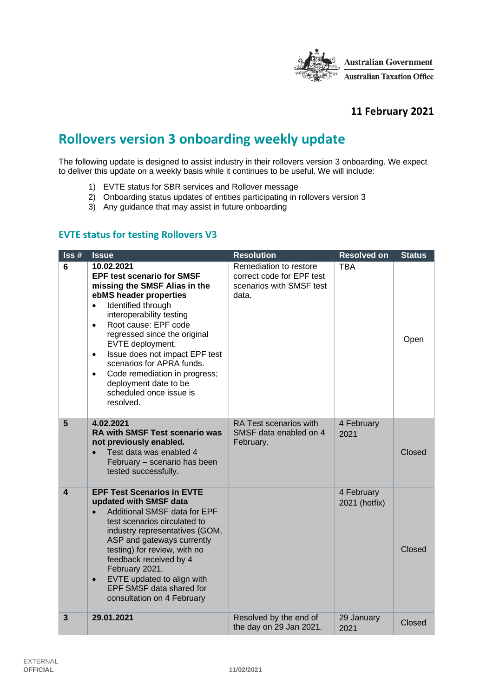

### **11 February 2021**

# **Rollovers version 3 onboarding weekly update**

The following update is designed to assist industry in their rollovers version 3 onboarding. We expect to deliver this update on a weekly basis while it continues to be useful. We will include:

- 1) EVTE status for SBR services and Rollover message
- 2) Onboarding status updates of entities participating in rollovers version 3
- 3) Any guidance that may assist in future onboarding

#### **EVTE status for testing Rollovers V3**

| Iss#           | <b>Issue</b>                                                                                                                                                                                                                                                                                                                                                                                                                                                  | <b>Resolution</b>                                                                        | <b>Resolved on</b>          | <b>Status</b> |
|----------------|---------------------------------------------------------------------------------------------------------------------------------------------------------------------------------------------------------------------------------------------------------------------------------------------------------------------------------------------------------------------------------------------------------------------------------------------------------------|------------------------------------------------------------------------------------------|-----------------------------|---------------|
| 6              | 10.02.2021<br><b>EPF test scenario for SMSF</b><br>missing the SMSF Alias in the<br>ebMS header properties<br>Identified through<br>$\bullet$<br>interoperability testing<br>Root cause: EPF code<br>$\bullet$<br>regressed since the original<br>EVTE deployment.<br>Issue does not impact EPF test<br>$\bullet$<br>scenarios for APRA funds.<br>Code remediation in progress;<br>$\bullet$<br>deployment date to be<br>scheduled once issue is<br>resolved. | Remediation to restore<br>correct code for EPF test<br>scenarios with SMSF test<br>data. | <b>TBA</b>                  | Open          |
| 5              | 4.02.2021<br><b>RA with SMSF Test scenario was</b><br>not previously enabled.<br>Test data was enabled 4<br>$\bullet$<br>February - scenario has been<br>tested successfully.                                                                                                                                                                                                                                                                                 | RA Test scenarios with<br>SMSF data enabled on 4<br>February.                            | 4 February<br>2021          | Closed        |
| 4              | <b>EPF Test Scenarios in EVTE</b><br>updated with SMSF data<br>Additional SMSF data for EPF<br>$\bullet$<br>test scenarios circulated to<br>industry representatives (GOM,<br>ASP and gateways currently<br>testing) for review, with no<br>feedback received by 4<br>February 2021.<br>EVTE updated to align with<br>$\bullet$<br>EPF SMSF data shared for<br>consultation on 4 February                                                                     |                                                                                          | 4 February<br>2021 (hotfix) | Closed        |
| $\overline{3}$ | 29.01.2021                                                                                                                                                                                                                                                                                                                                                                                                                                                    | Resolved by the end of<br>the day on 29 Jan 2021.                                        | 29 January<br>2021          | Closed        |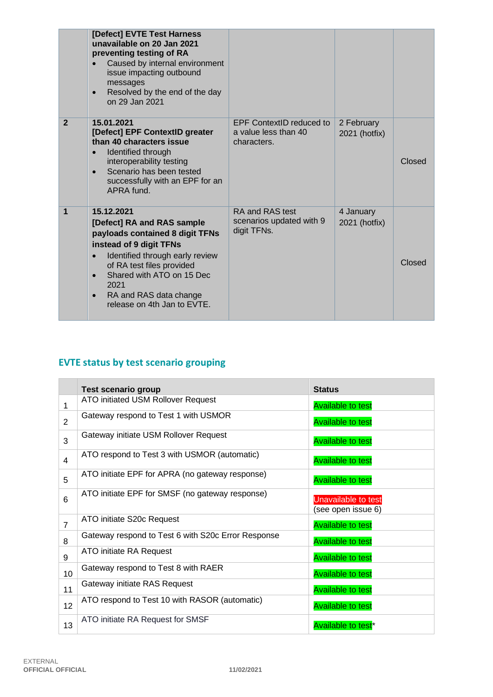|                | [Defect] EVTE Test Harness<br>unavailable on 20 Jan 2021<br>preventing testing of RA<br>Caused by internal environment<br>issue impacting outbound<br>messages<br>Resolved by the end of the day<br>$\bullet$<br>on 29 Jan 2021                                                                             |                                                                        |                             |        |
|----------------|-------------------------------------------------------------------------------------------------------------------------------------------------------------------------------------------------------------------------------------------------------------------------------------------------------------|------------------------------------------------------------------------|-----------------------------|--------|
| $\overline{2}$ | 15.01.2021<br>[Defect] EPF ContextID greater<br>than 40 characters issue<br>Identified through<br>interoperability testing<br>Scenario has been tested<br>successfully with an EPF for an<br>APRA fund.                                                                                                     | <b>EPF ContextID reduced to</b><br>a value less than 40<br>characters. | 2 February<br>2021 (hotfix) | Closed |
| 1              | 15.12.2021<br>[Defect] RA and RAS sample<br>payloads contained 8 digit TFNs<br>instead of 9 digit TFNs<br>Identified through early review<br>$\bullet$<br>of RA test files provided<br>Shared with ATO on 15 Dec<br>$\bullet$<br>2021<br>RA and RAS data change<br>$\bullet$<br>release on 4th Jan to EVTE. | RA and RAS test<br>scenarios updated with 9<br>digit TFNs.             | 4 January<br>2021 (hotfix)  | Closed |

## **EVTE status by test scenario grouping**

|                 | <b>Test scenario group</b>                         | <b>Status</b>                             |
|-----------------|----------------------------------------------------|-------------------------------------------|
| 1               | ATO initiated USM Rollover Request                 | <b>Available to test</b>                  |
| 2               | Gateway respond to Test 1 with USMOR               | <b>Available to test</b>                  |
| 3               | Gateway initiate USM Rollover Request              | <b>Available to test</b>                  |
| $\overline{4}$  | ATO respond to Test 3 with USMOR (automatic)       | <b>Available to test</b>                  |
| 5               | ATO initiate EPF for APRA (no gateway response)    | <b>Available to test</b>                  |
| 6               | ATO initiate EPF for SMSF (no gateway response)    | Unavailable to test<br>(see open issue 6) |
| $\overline{7}$  | ATO initiate S20c Request                          | <b>Available to test</b>                  |
| 8               | Gateway respond to Test 6 with S20c Error Response | <b>Available to test</b>                  |
| 9               | ATO initiate RA Request                            | <b>Available to test</b>                  |
| 10              | Gateway respond to Test 8 with RAER                | <b>Available to test</b>                  |
| 11              | Gateway initiate RAS Request                       | <b>Available to test</b>                  |
| 12 <sup>2</sup> | ATO respond to Test 10 with RASOR (automatic)      | <b>Available to test</b>                  |
| 13              | ATO initiate RA Request for SMSF                   | Available to test <sup>*</sup>            |